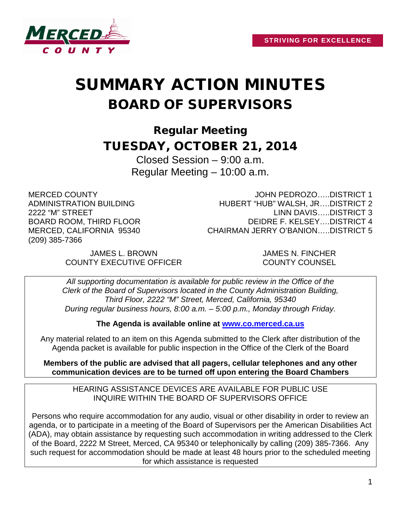

# SUMMARY ACTION MINUTES BOARD OF SUPERVISORS

Regular Meeting TUESDAY, OCTOBER 21, 2014

> Closed Session – 9:00 a.m. Regular Meeting – 10:00 a.m.

MERCED COUNTY ADMINISTRATION BUILDING 2222 "M" STREET BOARD ROOM, THIRD FLOOR MERCED, CALIFORNIA 95340 (209) 385-7366

JOHN PEDROZO…..DISTRICT 1 HUBERT "HUB" WALSH, JR….DISTRICT 2 LINN DAVIS…..DISTRICT 3 DEIDRE F. KELSEY….DISTRICT 4 CHAIRMAN JERRY O'BANION…..DISTRICT 5

JAMES L. BROWN JAMES N. FINCHER COUNTY EXECUTIVE OFFICER COUNTY COUNSEL

*All supporting documentation is available for public review in the Office of the Clerk of the Board of Supervisors located in the County Administration Building, Third Floor, 2222 "M" Street, Merced, California, 95340 During regular business hours, 8:00 a.m. – 5:00 p.m., Monday through Friday.*

**The Agenda is available online at [www.co.merced.ca.us](http://www.co.merced.ca.us/)**

Any material related to an item on this Agenda submitted to the Clerk after distribution of the Agenda packet is available for public inspection in the Office of the Clerk of the Board

**Members of the public are advised that all pagers, cellular telephones and any other communication devices are to be turned off upon entering the Board Chambers**

HEARING ASSISTANCE DEVICES ARE AVAILABLE FOR PUBLIC USE INQUIRE WITHIN THE BOARD OF SUPERVISORS OFFICE

Persons who require accommodation for any audio, visual or other disability in order to review an agenda, or to participate in a meeting of the Board of Supervisors per the American Disabilities Act (ADA), may obtain assistance by requesting such accommodation in writing addressed to the Clerk of the Board, 2222 M Street, Merced, CA 95340 or telephonically by calling (209) 385-7366. Any such request for accommodation should be made at least 48 hours prior to the scheduled meeting for which assistance is requested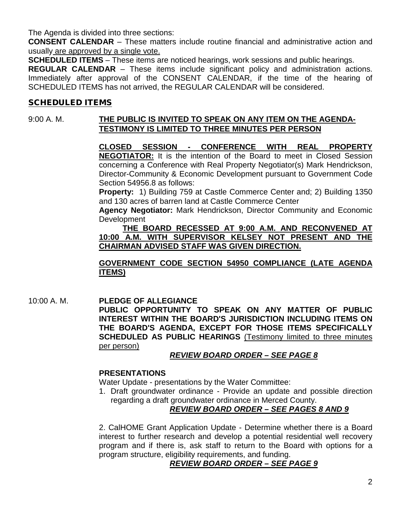The Agenda is divided into three sections:

**CONSENT CALENDAR** – These matters include routine financial and administrative action and usually are approved by a single vote.

**SCHEDULED ITEMS** – These items are noticed hearings, work sessions and public hearings.

**REGULAR CALENDAR** – These items include significant policy and administration actions. Immediately after approval of the CONSENT CALENDAR, if the time of the hearing of SCHEDULED ITEMS has not arrived, the REGULAR CALENDAR will be considered.

## SCHEDULED ITEMS

## 9:00 A. M. **THE PUBLIC IS INVITED TO SPEAK ON ANY ITEM ON THE AGENDA-TESTIMONY IS LIMITED TO THREE MINUTES PER PERSON**

**CLOSED SESSION - CONFERENCE WITH REAL PROPERTY NEGOTIATOR:** It is the intention of the Board to meet in Closed Session concerning a Conference with Real Property Negotiator(s) Mark Hendrickson, Director-Community & Economic Development pursuant to Government Code Section 54956.8 as follows:

**Property:** 1) Building 759 at Castle Commerce Center and; 2) Building 1350 and 130 acres of barren land at Castle Commerce Center

**Agency Negotiator:** Mark Hendrickson, Director Community and Economic Development

**THE BOARD RECESSED AT 9:00 A.M. AND RECONVENED AT 10:00 A.M. WITH SUPERVISOR KELSEY NOT PRESENT AND THE CHAIRMAN ADVISED STAFF WAS GIVEN DIRECTION.**

## **GOVERNMENT CODE SECTION 54950 COMPLIANCE (LATE AGENDA ITEMS)**

10:00 A. M. **PLEDGE OF ALLEGIANCE PUBLIC OPPORTUNITY TO SPEAK ON ANY MATTER OF PUBLIC INTEREST WITHIN THE BOARD'S JURISDICTION INCLUDING ITEMS ON THE BOARD'S AGENDA, EXCEPT FOR THOSE ITEMS SPECIFICALLY SCHEDULED AS PUBLIC HEARINGS** (Testimony limited to three minutes per person)

## *REVIEW BOARD ORDER – SEE PAGE 8*

#### **PRESENTATIONS**

Water Update - presentations by the Water Committee:

1. Draft groundwater ordinance - Provide an update and possible direction regarding a draft groundwater ordinance in Merced County.

## *REVIEW BOARD ORDER – SEE PAGES 8 AND 9*

2. CalHOME Grant Application Update - Determine whether there is a Board interest to further research and develop a potential residential well recovery program and if there is, ask staff to return to the Board with options for a program structure, eligibility requirements, and funding.

## *REVIEW BOARD ORDER – SEE PAGE 9*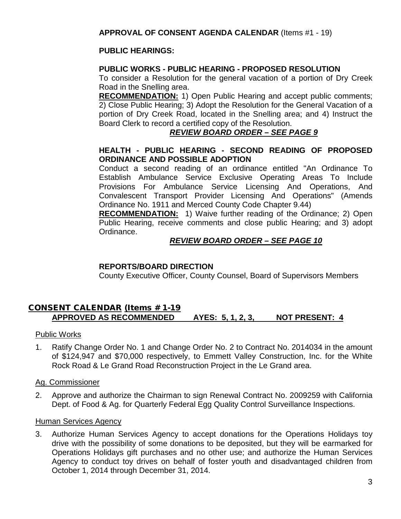## **PUBLIC HEARINGS:**

## **PUBLIC WORKS - PUBLIC HEARING - PROPOSED RESOLUTION**

To consider a Resolution for the general vacation of a portion of Dry Creek Road in the Snelling area.

**RECOMMENDATION:** 1) Open Public Hearing and accept public comments; 2) Close Public Hearing; 3) Adopt the Resolution for the General Vacation of a portion of Dry Creek Road, located in the Snelling area; and 4) Instruct the Board Clerk to record a certified copy of the Resolution.

## *REVIEW BOARD ORDER – SEE PAGE 9*

## **HEALTH - PUBLIC HEARING - SECOND READING OF PROPOSED ORDINANCE AND POSSIBLE ADOPTION**

Conduct a second reading of an ordinance entitled "An Ordinance To Establish Ambulance Service Exclusive Operating Areas To Include Provisions For Ambulance Service Licensing And Operations, And Convalescent Transport Provider Licensing And Operations" (Amends Ordinance No. 1911 and Merced County Code Chapter 9.44)

**RECOMMENDATION:** 1) Waive further reading of the Ordinance; 2) Open Public Hearing, receive comments and close public Hearing; and 3) adopt Ordinance.

## *REVIEW BOARD ORDER – SEE PAGE 10*

## **REPORTS/BOARD DIRECTION**

County Executive Officer, County Counsel, Board of Supervisors Members

## CONSENT CALENDAR (Items # 1-19 **APPROVED AS RECOMMENDED AYES: 5, 1, 2, 3, NOT PRESENT: 4**

## Public Works

1. Ratify Change Order No. 1 and Change Order No. 2 to Contract No. 2014034 in the amount of \$124,947 and \$70,000 respectively, to Emmett Valley Construction, Inc. for the White Rock Road & Le Grand Road Reconstruction Project in the Le Grand area.

## Ag. Commissioner

2. Approve and authorize the Chairman to sign Renewal Contract No. 2009259 with California Dept. of Food & Ag. for Quarterly Federal Egg Quality Control Surveillance Inspections.

## Human Services Agency

3. Authorize Human Services Agency to accept donations for the Operations Holidays toy drive with the possibility of some donations to be deposited, but they will be earmarked for Operations Holidays gift purchases and no other use; and authorize the Human Services Agency to conduct toy drives on behalf of foster youth and disadvantaged children from October 1, 2014 through December 31, 2014.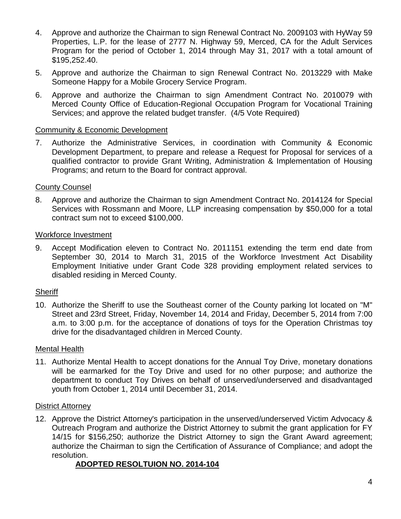- 4. Approve and authorize the Chairman to sign Renewal Contract No. 2009103 with HyWay 59 Properties, L.P. for the lease of 2777 N. Highway 59, Merced, CA for the Adult Services Program for the period of October 1, 2014 through May 31, 2017 with a total amount of \$195,252.40.
- 5. Approve and authorize the Chairman to sign Renewal Contract No. 2013229 with Make Someone Happy for a Mobile Grocery Service Program.
- 6. Approve and authorize the Chairman to sign Amendment Contract No. 2010079 with Merced County Office of Education-Regional Occupation Program for Vocational Training Services; and approve the related budget transfer. (4/5 Vote Required)

#### Community & Economic Development

7. Authorize the Administrative Services, in coordination with Community & Economic Development Department, to prepare and release a Request for Proposal for services of a qualified contractor to provide Grant Writing, Administration & Implementation of Housing Programs; and return to the Board for contract approval.

## County Counsel

8. Approve and authorize the Chairman to sign Amendment Contract No. 2014124 for Special Services with Rossmann and Moore, LLP increasing compensation by \$50,000 for a total contract sum not to exceed \$100,000.

## Workforce Investment

9. Accept Modification eleven to Contract No. 2011151 extending the term end date from September 30, 2014 to March 31, 2015 of the Workforce Investment Act Disability Employment Initiative under Grant Code 328 providing employment related services to disabled residing in Merced County.

## **Sheriff**

10. Authorize the Sheriff to use the Southeast corner of the County parking lot located on "M" Street and 23rd Street, Friday, November 14, 2014 and Friday, December 5, 2014 from 7:00 a.m. to 3:00 p.m. for the acceptance of donations of toys for the Operation Christmas toy drive for the disadvantaged children in Merced County.

#### Mental Health

11. Authorize Mental Health to accept donations for the Annual Toy Drive, monetary donations will be earmarked for the Toy Drive and used for no other purpose; and authorize the department to conduct Toy Drives on behalf of unserved/underserved and disadvantaged youth from October 1, 2014 until December 31, 2014.

#### District Attorney

12. Approve the District Attorney's participation in the unserved/underserved Victim Advocacy & Outreach Program and authorize the District Attorney to submit the grant application for FY 14/15 for \$156,250; authorize the District Attorney to sign the Grant Award agreement; authorize the Chairman to sign the Certification of Assurance of Compliance; and adopt the resolution.

## **ADOPTED RESOLTUION NO. 2014-104**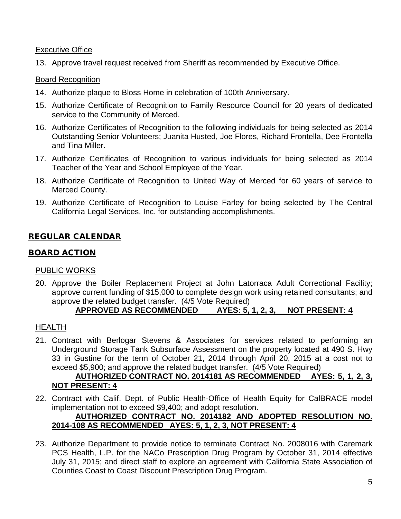#### **Executive Office**

13. Approve travel request received from Sheriff as recommended by Executive Office.

## Board Recognition

- 14. Authorize plaque to Bloss Home in celebration of 100th Anniversary.
- 15. Authorize Certificate of Recognition to Family Resource Council for 20 years of dedicated service to the Community of Merced.
- 16. Authorize Certificates of Recognition to the following individuals for being selected as 2014 Outstanding Senior Volunteers; Juanita Husted, Joe Flores, Richard Frontella, Dee Frontella and Tina Miller.
- 17. Authorize Certificates of Recognition to various individuals for being selected as 2014 Teacher of the Year and School Employee of the Year.
- 18. Authorize Certificate of Recognition to United Way of Merced for 60 years of service to Merced County.
- 19. Authorize Certificate of Recognition to Louise Farley for being selected by The Central California Legal Services, Inc. for outstanding accomplishments.

## REGULAR CALENDAR

## BOARD ACTION

#### PUBLIC WORKS

20. Approve the Boiler Replacement Project at John Latorraca Adult Correctional Facility; approve current funding of \$15,000 to complete design work using retained consultants; and approve the related budget transfer. (4/5 Vote Required)

## **APPROVED AS RECOMMENDED AYES: 5, 1, 2, 3, NOT PRESENT: 4**

#### HEALTH

21. Contract with Berlogar Stevens & Associates for services related to performing an Underground Storage Tank Subsurface Assessment on the property located at 490 S. Hwy 33 in Gustine for the term of October 21, 2014 through April 20, 2015 at a cost not to exceed \$5,900; and approve the related budget transfer. (4/5 Vote Required)

## **AUTHORIZED CONTRACT NO. 2014181 AS RECOMMENDED AYES: 5, 1, 2, 3, NOT PRESENT: 4**

22. Contract with Calif. Dept. of Public Health-Office of Health Equity for CalBRACE model implementation not to exceed \$9,400; and adopt resolution.

## **AUTHORIZED CONTRACT NO. 2014182 AND ADOPTED RESOLUTION NO. 2014-108 AS RECOMMENDED AYES: 5, 1, 2, 3, NOT PRESENT: 4**

23. Authorize Department to provide notice to terminate Contract No. 2008016 with Caremark PCS Health, L.P. for the NACo Prescription Drug Program by October 31, 2014 effective July 31, 2015; and direct staff to explore an agreement with California State Association of Counties Coast to Coast Discount Prescription Drug Program.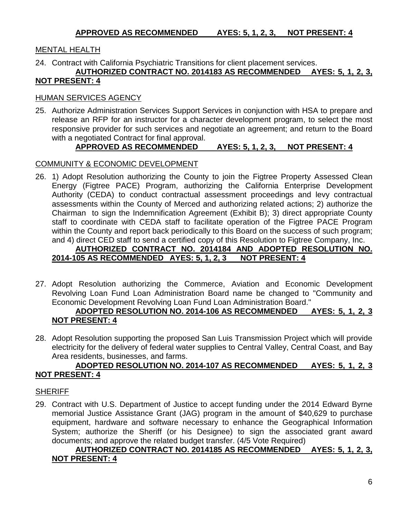## MENTAL HEALTH

## 24. Contract with California Psychiatric Transitions for client placement services.

#### **AUTHORIZED CONTRACT NO. 2014183 AS RECOMMENDED AYES: 5, 1, 2, 3, NOT PRESENT: 4**

#### HUMAN SERVICES AGENCY

25. Authorize Administration Services Support Services in conjunction with HSA to prepare and release an RFP for an instructor for a character development program, to select the most responsive provider for such services and negotiate an agreement; and return to the Board with a negotiated Contract for final approval.

## **APPROVED AS RECOMMENDED AYES: 5, 1, 2, 3, NOT PRESENT: 4**

#### COMMUNITY & ECONOMIC DEVELOPMENT

26. 1) Adopt Resolution authorizing the County to join the Figtree Property Assessed Clean Energy (Figtree PACE) Program, authorizing the California Enterprise Development Authority (CEDA) to conduct contractual assessment proceedings and levy contractual assessments within the County of Merced and authorizing related actions; 2) authorize the Chairman to sign the Indemnification Agreement (Exhibit B); 3) direct appropriate County staff to coordinate with CEDA staff to facilitate operation of the Figtree PACE Program within the County and report back periodically to this Board on the success of such program; and 4) direct CED staff to send a certified copy of this Resolution to Figtree Company, Inc.

## **AUTHORIZED CONTRACT NO. 2014184 AND ADOPTED RESOLUTION NO. 2014-105 AS RECOMMENDED AYES: 5, 1, 2, 3 NOT PRESENT: 4**

27. Adopt Resolution authorizing the Commerce, Aviation and Economic Development Revolving Loan Fund Loan Administration Board name be changed to "Community and Economic Development Revolving Loan Fund Loan Administration Board."

## **ADOPTED RESOLUTION NO. 2014-106 AS RECOMMENDED AYES: 5, 1, 2, 3 NOT PRESENT: 4**

28. Adopt Resolution supporting the proposed San Luis Transmission Project which will provide electricity for the delivery of federal water supplies to Central Valley, Central Coast, and Bay Area residents, businesses, and farms.

## **ADOPTED RESOLUTION NO. 2014-107 AS RECOMMENDED AYES: 5, 1, 2, 3 NOT PRESENT: 4**

#### **SHERIFF**

29. Contract with U.S. Department of Justice to accept funding under the 2014 Edward Byrne memorial Justice Assistance Grant (JAG) program in the amount of \$40,629 to purchase equipment, hardware and software necessary to enhance the Geographical Information System; authorize the Sheriff (or his Designee) to sign the associated grant award documents; and approve the related budget transfer. (4/5 Vote Required)

## **AUTHORIZED CONTRACT NO. 2014185 AS RECOMMENDED AYES: 5, 1, 2, 3, NOT PRESENT: 4**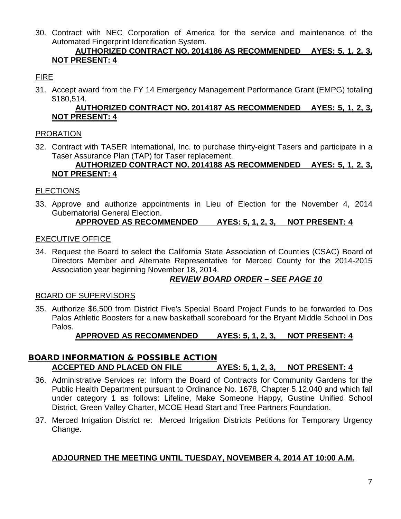30. Contract with NEC Corporation of America for the service and maintenance of the Automated Fingerprint Identification System.

## **AUTHORIZED CONTRACT NO. 2014186 AS RECOMMENDED AYES: 5, 1, 2, 3, NOT PRESENT: 4**

## FIRE

31. Accept award from the FY 14 Emergency Management Performance Grant (EMPG) totaling \$180,514.

## **AUTHORIZED CONTRACT NO. 2014187 AS RECOMMENDED AYES: 5, 1, 2, 3, NOT PRESENT: 4**

## PROBATION

32. Contract with TASER International, Inc. to purchase thirty-eight Tasers and participate in a Taser Assurance Plan (TAP) for Taser replacement.

## **AUTHORIZED CONTRACT NO. 2014188 AS RECOMMENDED AYES: 5, 1, 2, 3, NOT PRESENT: 4**

## **ELECTIONS**

33. Approve and authorize appointments in Lieu of Election for the November 4, 2014 Gubernatorial General Election.

## **APPROVED AS RECOMMENDED AYES: 5, 1, 2, 3, NOT PRESENT: 4**

## EXECUTIVE OFFICE

34. Request the Board to select the California State Association of Counties (CSAC) Board of Directors Member and Alternate Representative for Merced County for the 2014-2015 Association year beginning November 18, 2014.

## *REVIEW BOARD ORDER – SEE PAGE 10*

## BOARD OF SUPERVISORS

35. Authorize \$6,500 from District Five's Special Board Project Funds to be forwarded to Dos Palos Athletic Boosters for a new basketball scoreboard for the Bryant Middle School in Dos Palos.

## **APPROVED AS RECOMMENDED AYES: 5, 1, 2, 3, NOT PRESENT: 4**

## BOARD INFORMATION & POSSIBLE ACTION **ACCEPTED AND PLACED ON FILE AYES: 5, 1, 2, 3, NOT PRESENT: 4**

- 36. Administrative Services re: Inform the Board of Contracts for Community Gardens for the Public Health Department pursuant to Ordinance No. 1678, Chapter 5.12.040 and which fall under category 1 as follows: Lifeline, Make Someone Happy, Gustine Unified School District, Green Valley Charter, MCOE Head Start and Tree Partners Foundation.
- 37. Merced Irrigation District re: Merced Irrigation Districts Petitions for Temporary Urgency Change.

## **ADJOURNED THE MEETING UNTIL TUESDAY, NOVEMBER 4, 2014 AT 10:00 A.M.**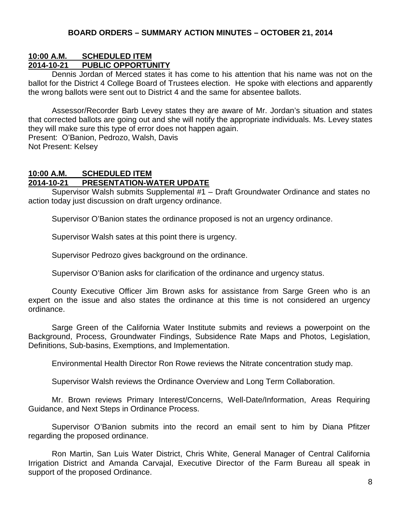#### **10:00 A.M. SCHEDULED ITEM 2014-10-21 PUBLIC OPPORTUNITY**

Dennis Jordan of Merced states it has come to his attention that his name was not on the ballot for the District 4 College Board of Trustees election. He spoke with elections and apparently the wrong ballots were sent out to District 4 and the same for absentee ballots.

Assessor/Recorder Barb Levey states they are aware of Mr. Jordan's situation and states that corrected ballots are going out and she will notify the appropriate individuals. Ms. Levey states they will make sure this type of error does not happen again. Present: O'Banion, Pedrozo, Walsh, Davis

Not Present: Kelsey

#### **10:00 A.M. SCHEDULED ITEM 2014-10-21 PRESENTATION-WATER UPDATE**

Supervisor Walsh submits Supplemental #1 – Draft Groundwater Ordinance and states no action today just discussion on draft urgency ordinance.

Supervisor O'Banion states the ordinance proposed is not an urgency ordinance.

Supervisor Walsh sates at this point there is urgency.

Supervisor Pedrozo gives background on the ordinance.

Supervisor O'Banion asks for clarification of the ordinance and urgency status.

County Executive Officer Jim Brown asks for assistance from Sarge Green who is an expert on the issue and also states the ordinance at this time is not considered an urgency ordinance.

Sarge Green of the California Water Institute submits and reviews a powerpoint on the Background, Process, Groundwater Findings, Subsidence Rate Maps and Photos, Legislation, Definitions, Sub-basins, Exemptions, and Implementation.

Environmental Health Director Ron Rowe reviews the Nitrate concentration study map.

Supervisor Walsh reviews the Ordinance Overview and Long Term Collaboration.

Mr. Brown reviews Primary Interest/Concerns, Well-Date/Information, Areas Requiring Guidance, and Next Steps in Ordinance Process.

Supervisor O'Banion submits into the record an email sent to him by Diana Pfitzer regarding the proposed ordinance.

Ron Martin, San Luis Water District, Chris White, General Manager of Central California Irrigation District and Amanda Carvajal, Executive Director of the Farm Bureau all speak in support of the proposed Ordinance.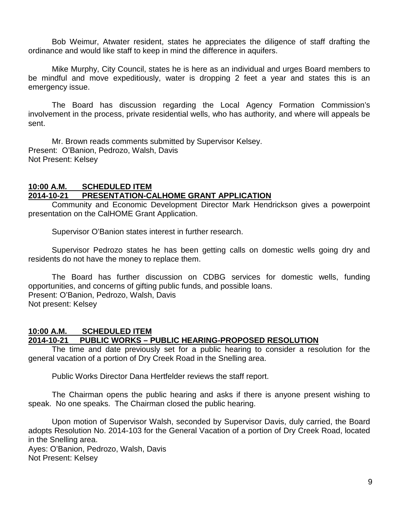Bob Weimur, Atwater resident, states he appreciates the diligence of staff drafting the ordinance and would like staff to keep in mind the difference in aquifers.

Mike Murphy, City Council, states he is here as an individual and urges Board members to be mindful and move expeditiously, water is dropping 2 feet a year and states this is an emergency issue.

The Board has discussion regarding the Local Agency Formation Commission's involvement in the process, private residential wells, who has authority, and where will appeals be sent.

Mr. Brown reads comments submitted by Supervisor Kelsey. Present: O'Banion, Pedrozo, Walsh, Davis Not Present: Kelsey

## **10:00 A.M. SCHEDULED ITEM**

## **2014-10-21 PRESENTATION-CALHOME GRANT APPLICATION**

Community and Economic Development Director Mark Hendrickson gives a powerpoint presentation on the CalHOME Grant Application.

Supervisor O'Banion states interest in further research.

Supervisor Pedrozo states he has been getting calls on domestic wells going dry and residents do not have the money to replace them.

The Board has further discussion on CDBG services for domestic wells, funding opportunities, and concerns of gifting public funds, and possible loans. Present: O'Banion, Pedrozo, Walsh, Davis Not present: Kelsey

# **10:00 A.M. SCHEDULED ITEM**

#### **2014-10-21 PUBLIC WORKS – PUBLIC HEARING-PROPOSED RESOLUTION**

The time and date previously set for a public hearing to consider a resolution for the general vacation of a portion of Dry Creek Road in the Snelling area.

Public Works Director Dana Hertfelder reviews the staff report.

The Chairman opens the public hearing and asks if there is anyone present wishing to speak. No one speaks. The Chairman closed the public hearing.

Upon motion of Supervisor Walsh, seconded by Supervisor Davis, duly carried, the Board adopts Resolution No. 2014-103 for the General Vacation of a portion of Dry Creek Road, located in the Snelling area.

Ayes: O'Banion, Pedrozo, Walsh, Davis Not Present: Kelsey